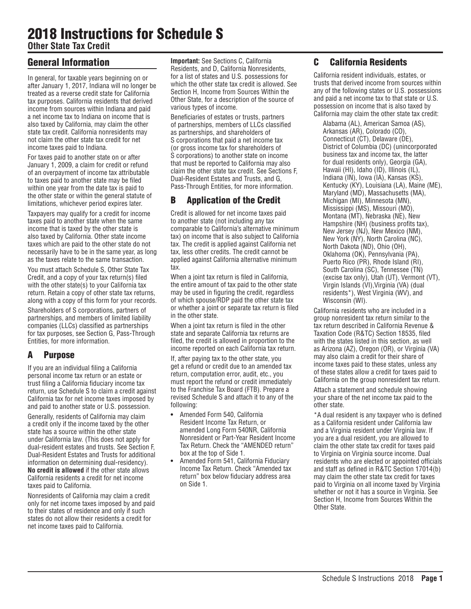# 2018 Instructions for Schedule S

**Other State Tax Credit**

## General Information

In general, for taxable years beginning on or after January 1, 2017, Indiana will no longer be treated as a reverse credit state for California tax purposes. California residents that derived income from sources within Indiana and paid a net income tax to Indiana on income that is also taxed by California, may claim the other state tax credit. California nonresidents may not claim the other state tax credit for net income taxes paid to Indiana.

For taxes paid to another state on or after January 1, 2009, a claim for credit or refund of an overpayment of income tax attributable to taxes paid to another state may be filed within one year from the date tax is paid to the other state or within the general statute of limitations, whichever period expires later.

Taxpayers may qualify for a credit for income taxes paid to another state when the same income that is taxed by the other state is also taxed by California. Other state income taxes which are paid to the other state do not necessarily have to be in the same year, as long as the taxes relate to the same transaction.

You must attach Schedule S, Other State Tax Credit, and a copy of your tax return(s) filed with the other state(s) to your California tax return. Retain a copy of other state tax returns, along with a copy of this form for your records.

Shareholders of S corporations, partners of partnerships, and members of limited liability companies (LLCs) classified as partnerships for tax purposes, see Section G, Pass-Through Entities, for more information.

## A Purpose

If you are an individual filing a California personal income tax return or an estate or trust filing a California fiduciary income tax return, use Schedule S to claim a credit against California tax for net income taxes imposed by and paid to another state or U.S. possession.

Generally, residents of California may claim a credit only if the income taxed by the other state has a source within the other state under California law. (This does not apply for dual-resident estates and trusts. See Section F, Dual-Resident Estates and Trusts for additional information on determining dual-residency). **No credit is allowed** if the other state allows California residents a credit for net income taxes paid to California.

Nonresidents of California may claim a credit only for net income taxes imposed by and paid to their states of residence and only if such states do not allow their residents a credit for net income taxes paid to California.

**Important:** See Sections C, California Residents, and D, California Nonresidents, for a list of states and U.S. possessions for which the other state tax credit is allowed. See Section H, Income from Sources Within the Other State, for a description of the source of various types of income.

Beneficiaries of estates or trusts, partners of partnerships, members of LLCs classified as partnerships, and shareholders of S corporations that paid a net income tax (or gross income tax for shareholders of S corporations) to another state on income that must be reported to California may also claim the other state tax credit. See Sections F, Dual-Resident Estates and Trusts, and G, Pass-Through Entities, for more information.

# B Application of the Credit

Credit is allowed for net income taxes paid to another state (not including any tax comparable to California's alternative minimum tax) on income that is also subject to California tax. The credit is applied against California net tax, less other credits. The credit cannot be applied against California alternative minimum tax.

When a joint tax return is filed in California, the entire amount of tax paid to the other state may be used in figuring the credit, regardless of which spouse/RDP paid the other state tax or whether a joint or separate tax return is filed in the other state.

When a joint tax return is filed in the other state and separate California tax returns are filed, the credit is allowed in proportion to the income reported on each California tax return.

If, after paying tax to the other state, you get a refund or credit due to an amended tax return, computation error, audit, etc., you must report the refund or credit immediately to the Franchise Tax Board (FTB). Prepare a revised Schedule S and attach it to any of the following:

- **•** Amended Form 540, California Resident Income Tax Return, or amended Long Form 540NR, California Nonresident or Part-Year Resident Income Tax Return. Check the "AMENDED return" box at the top of Side 1.
- **•** Amended Form 541, California Fiduciary Income Tax Return. Check "Amended tax return" box below fiduciary address area on Side 1.

## C California Residents

California resident individuals, estates, or trusts that derived income from sources within any of the following states or U.S. possessions and paid a net income tax to that state or U.S. possession on income that is also taxed by California may claim the other state tax credit:

Alabama (AL), American Samoa (AS), Arkansas (AR), Colorado (CO), Connecticut (CT), Delaware (DE), District of Columbia (DC) (unincorporated business tax and income tax, the latter for dual residents only), Georgia (GA), Hawaii (HI), Idaho (ID), Illinois (IL), Indiana (IN), Iowa (IA), Kansas (KS), Kentucky (KY), Louisiana (LA), Maine (ME), Maryland (MD), Massachusetts (MA), Michigan (MI), Minnesota (MN), Mississippi (MS), Missouri (MO), Montana (MT), Nebraska (NE), New Hampshire (NH) (business profits tax), New Jersey (NJ), New Mexico (NM), New York (NY), North Carolina (NC), North Dakota (ND), Ohio (OH), Oklahoma (OK), Pennsylvania (PA), Puerto Rico (PR), Rhode Island (RI), South Carolina (SC), Tennessee (TN) (excise tax only), Utah (UT), Vermont (VT), Virgin Islands (VI),Virginia (VA) (dual residents\*), West Virginia (WV), and Wisconsin (WI).

California residents who are included in a group nonresident tax return similar to the tax return described in California Revenue & Taxation Code (R&TC) Section 18535, filed with the states listed in this section, as well as Arizona (AZ), Oregon (OR), or Virginia (VA) may also claim a credit for their share of income taxes paid to these states, unless any of these states allow a credit for taxes paid to California on the group nonresident tax return.

Attach a statement and schedule showing your share of the net income tax paid to the other state.

\*A dual resident is any taxpayer who is defined as a California resident under California law and a Virginia resident under Virginia law. If you are a dual resident, you are allowed to claim the other state tax credit for taxes paid to Virginia on Virginia source income. Dual residents who are elected or appointed officials and staff as defined in R&TC Section 17014(b) may claim the other state tax credit for taxes paid to Virginia on all income taxed by Virginia whether or not it has a source in Virginia. See Section H, Income from Sources Within the Other State.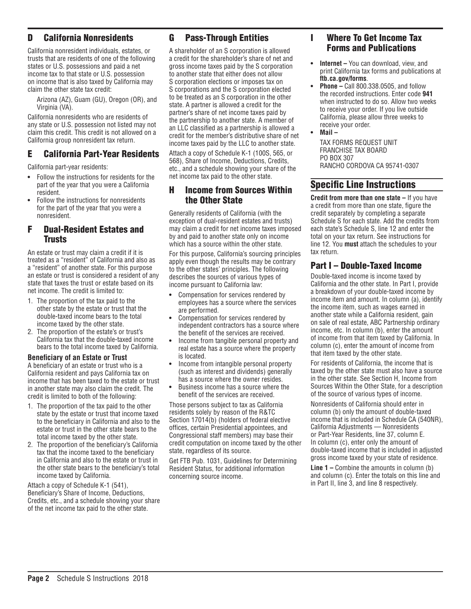## D California Nonresidents

California nonresident individuals, estates, or trusts that are residents of one of the following states or U.S. possessions and paid a net income tax to that state or U.S. possession on income that is also taxed by California may claim the other state tax credit:

Arizona (AZ), Guam (GU), Oregon (OR), and Virginia (VA).

California nonresidents who are residents of any state or U.S. possession not listed may not claim this credit. This credit is not allowed on a California group nonresident tax return.

## E California Part-Year Residents

California part-year residents:

- **•** Follow the instructions for residents for the part of the year that you were a California resident.
- **•** Follow the instructions for nonresidents for the part of the year that you were a nonresident.

### F Dual-Resident Estates and Trusts

An estate or trust may claim a credit if it is treated as a "resident" of California and also as a "resident" of another state. For this purpose an estate or trust is considered a resident of any state that taxes the trust or estate based on its net income. The credit is limited to:

- 1. The proportion of the tax paid to the other state by the estate or trust that the double-taxed income bears to the total income taxed by the other state.
- 2. The proportion of the estate's or trust's California tax that the double-taxed income bears to the total income taxed by California.

#### **Beneficiary of an Estate or Trust**

A beneficiary of an estate or trust who is a California resident and pays California tax on income that has been taxed to the estate or trust in another state may also claim the credit. The credit is limited to both of the following:

- 1. The proportion of the tax paid to the other state by the estate or trust that income taxed to the beneficiary in California and also to the estate or trust in the other state bears to the total income taxed by the other state.
- 2. The proportion of the beneficiary's California tax that the income taxed to the beneficiary in California and also to the estate or trust in the other state bears to the beneficiary's total income taxed by California.

Attach a copy of Schedule K-1 (541), Beneficiary's Share of Income, Deductions, Credits, etc., and a schedule showing your share of the net income tax paid to the other state.

## G Pass-Through Entities

A shareholder of an S corporation is allowed a credit for the shareholder's share of net and gross income taxes paid by the S corporation to another state that either does not allow S corporation elections or imposes tax on S corporations and the S corporation elected to be treated as an S corporation in the other state. A partner is allowed a credit for the partner's share of net income taxes paid by the partnership to another state. A member of an LLC classified as a partnership is allowed a credit for the member's distributive share of net income taxes paid by the LLC to another state.

Attach a copy of Schedule K-1 (100S, 565, or 568), Share of Income, Deductions, Credits, etc., and a schedule showing your share of the net income tax paid to the other state.

### H Income from Sources Within the Other State

Generally residents of California (with the exception of dual-resident estates and trusts) may claim a credit for net income taxes imposed by and paid to another state only on income which has a source within the other state.

For this purpose, California's sourcing principles apply even though the results may be contrary to the other states' principles. The following describes the sources of various types of income pursuant to California law:

- **•** Compensation for services rendered by employees has a source where the services are performed.
- **•** Compensation for services rendered by independent contractors has a source where the benefit of the services are received.
- **•** Income from tangible personal property and real estate has a source where the property is located.
- **•** Income from intangible personal property (such as interest and dividends) generally has a source where the owner resides.
- **•** Business income has a source where the benefit of the services are received.

Those persons subject to tax as California residents solely by reason of the R&TC Section 17014(b) (holders of federal elective offices, certain Presidential appointees, and Congressional staff members) may base their credit computation on income taxed by the other state, regardless of its source.

Get FTB Pub. 1031, Guidelines for Determining Resident Status, for additional information concerning source income.

## I Where To Get Income Tax Forms and Publications

- **• Internet** You can download, view, and print California tax forms and publications at **ftb.ca.gov/forms**.
- **• Phone** Call 800.338.0505, and follow the recorded instructions. Enter code **941** when instructed to do so. Allow two weeks to receive your order. If you live outside California, please allow three weeks to receive your order.
- **• Mail**

TAX FORMS REQUEST UNIT FRANCHISE TAX BOARD PO BOX 307 RANCHO CORDOVA CA 95741-0307

## Specific Line Instructions

**Credit from more than one state –** If you have a credit from more than one state, figure the credit separately by completing a separate Schedule S for each state. Add the credits from each state's Schedule S, line 12 and enter the total on your tax return. See instructions for line 12. You **must** attach the schedules to your tax return.

## Part I – Double-Taxed Income

Double-taxed income is income taxed by California and the other state. In Part I, provide a breakdown of your double-taxed income by income item and amount. In column (a), identify the income item, such as wages earned in another state while a California resident, gain on sale of real estate, ABC Partnership ordinary income, etc. In column (b), enter the amount of income from that item taxed by California. In column (c), enter the amount of income from that item taxed by the other state.

For residents of California, the income that is taxed by the other state must also have a source in the other state. See Section H, Income from Sources Within the Other State, for a description of the source of various types of income.

Nonresidents of California should enter in column (b) only the amount of double-taxed income that is included in Schedule CA (540NR), California Adjustments — Nonresidents or Part-Year Residents, line 37, column E. In column (c), enter only the amount of double-taxed income that is included in adjusted gross income taxed by your state of residence.

**Line 1 –** Combine the amounts in column (b) and column (c). Enter the totals on this line and in Part II, line 3, and line 8 respectively.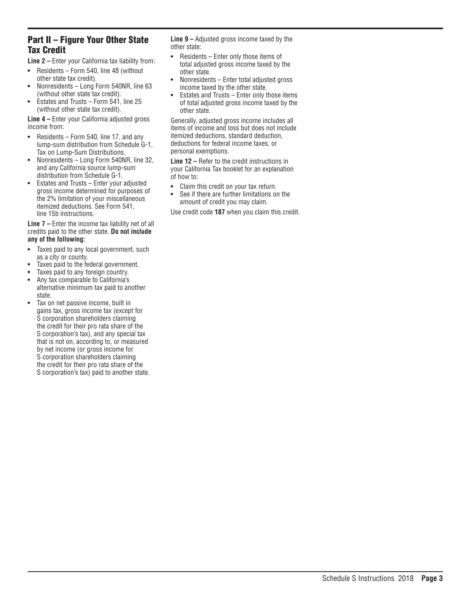## Part II – Figure Your Other State Tax Credit

**Line 2 –** Enter your California tax liability from:

- **•** Residents Form 540, line 48 (without other state tax credit).
- **•** Nonresidents Long Form 540NR, line 63 (without other state tax credit).
- **•** Estates and Trusts Form 541, line 25 (without other state tax credit).

**Line 4 –** Enter your California adjusted gross income from:

- **•** Residents Form 540, line 17, and any lump-sum distribution from Schedule G-1, Tax on Lump-Sum Distributions.
- **•** Nonresidents Long Form 540NR, line 32, and any California source lump-sum distribution from Schedule G-1.
- **•** Estates and Trusts Enter your adjusted gross income determined for purposes of the 2% limitation of your miscellaneous itemized deductions. See Form 541, line 15b instructions.

**Line 7 –** Enter the income tax liability net of all credits paid to the other state. **Do not include any of the following:**

- **•** Taxes paid to any local government, such as a city or county.
- **•** Taxes paid to the federal government.
- **•** Taxes paid to any foreign country.
- **•** Any tax comparable to California's alternative minimum tax paid to another state.
- **•** Tax on net passive income, built in gains tax, gross income tax (except for S corporation shareholders claiming the credit for their pro rata share of the S corporation's tax), and any special tax that is not on, according to, or measured by net income (or gross income for S corporation shareholders claiming the credit for their pro rata share of the S corporation's tax) paid to another state.

**Line 9 –** Adjusted gross income taxed by the other state:

- **•** Residents Enter only those items of total adjusted gross income taxed by the other state.
- **•** Nonresidents Enter total adjusted gross income taxed by the other state.
- **•** Estates and Trusts Enter only those items of total adjusted gross income taxed by the other state.

Generally, adjusted gross income includes all items of income and loss but does not include itemized deductions, standard deduction, deductions for federal income taxes, or personal exemptions.

**Line 12 –** Refer to the credit instructions in your California Tax booklet for an explanation of how to:

- **•** Claim this credit on your tax return.
- **•** See if there are further limitations on the amount of credit you may claim.

Use credit code **187** when you claim this credit.